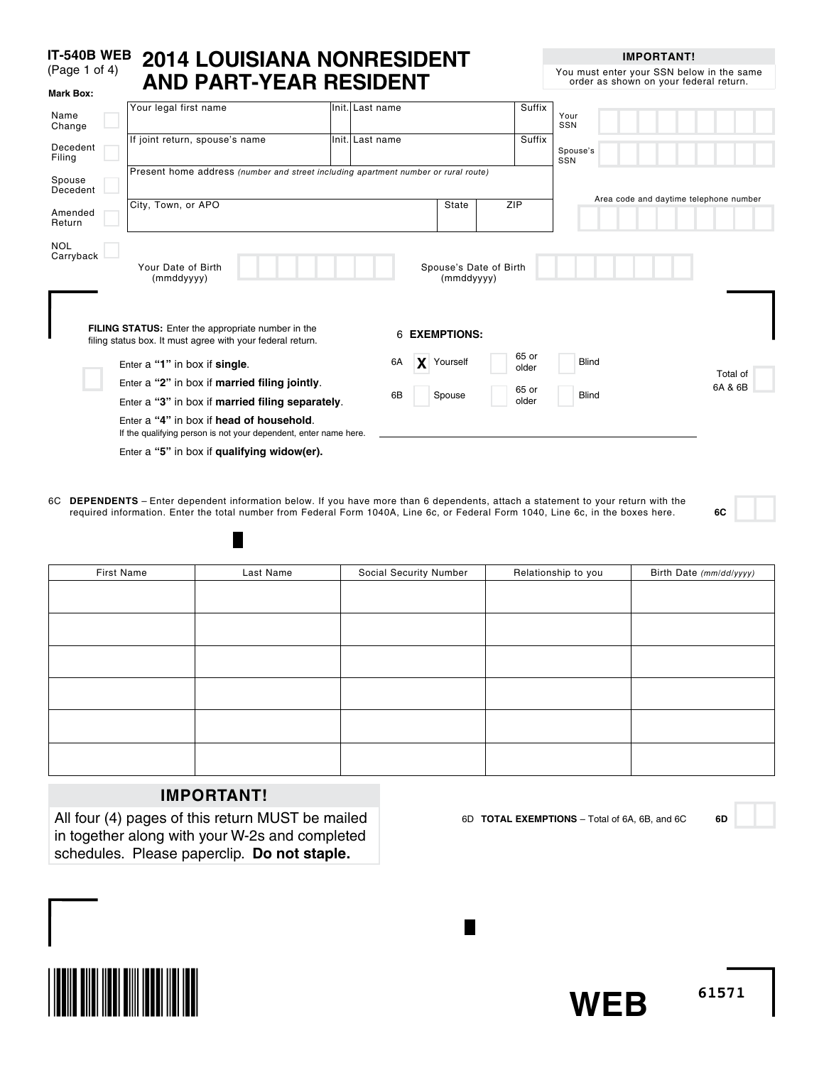#### **IT-540B WEB** (Page 1 of 4) **2014 LOUISIANA Nonresident and Part-year Resident Mark Box:**

**IMPORTANT!**

You must enter your SSN below in the same order as shown on your federal return.

| Name<br>Change          | Your legal first name                                                                                                                                       | Init. Last name         |            |                        | Suffix         | Your<br>SSN                            |
|-------------------------|-------------------------------------------------------------------------------------------------------------------------------------------------------------|-------------------------|------------|------------------------|----------------|----------------------------------------|
| Decedent<br>Filing      | If joint return, spouse's name                                                                                                                              | lInit. Last name        |            |                        | Suffix         | Spouse's<br>SSN                        |
| Spouse<br>Decedent      | Present home address (number and street including apartment number or rural route)                                                                          |                         |            |                        |                |                                        |
| Amended<br>Return       | City, Town, or APO                                                                                                                                          |                         | State      | ZIP                    |                | Area code and daytime telephone number |
| <b>NOL</b><br>Carryback | Your Date of Birth<br>(mmddyyyy)<br><b>FILING STATUS:</b> Enter the appropriate number in the<br>filing status box. It must agree with your federal return. | <b>EXEMPTIONS:</b><br>6 | (mmddyyyy) | Spouse's Date of Birth |                |                                        |
|                         | Enter a "1" in box if single.                                                                                                                               | 6A                      | Yourself   |                        | 65 or<br>older | <b>Blind</b>                           |
|                         | Enter a "2" in box if married filing jointly.<br>Enter a "3" in box if married filing separately.                                                           | 6B<br>Spouse            |            |                        | 65 or<br>older | Total of<br>6A & 6B<br><b>Blind</b>    |
|                         | Enter a "4" in box if head of household.<br>If the qualifying person is not your dependent, enter name here.<br>Enter a "5" in box if qualifying widow(er). |                         |            |                        |                |                                        |

6C **dependents** – Enter dependent information below. If you have more than 6 dependents, attach a statement to your return with the required information. Enter the total number from Federal Form 1040A, Line 6c, or Federal Form 1040, Line 6c, in the boxes here. **6C**

| First Name | Last Name | Social Security Number | Relationship to you | Birth Date (mm/dd/yyyy) |
|------------|-----------|------------------------|---------------------|-------------------------|
|            |           |                        |                     |                         |
|            |           |                        |                     |                         |
|            |           |                        |                     |                         |
|            |           |                        |                     |                         |
|            |           |                        |                     |                         |
|            |           |                        |                     |                         |
|            |           |                        |                     |                         |

L.

# **IMPORTANT!**

П

All four (4) pages of this return MUST be mailed in together along with your W-2s and completed schedules. Please paperclip. **Do not staple.**

6D **Total exemptions** – Total of 6A, 6B, and 6C **6D**



**WEB**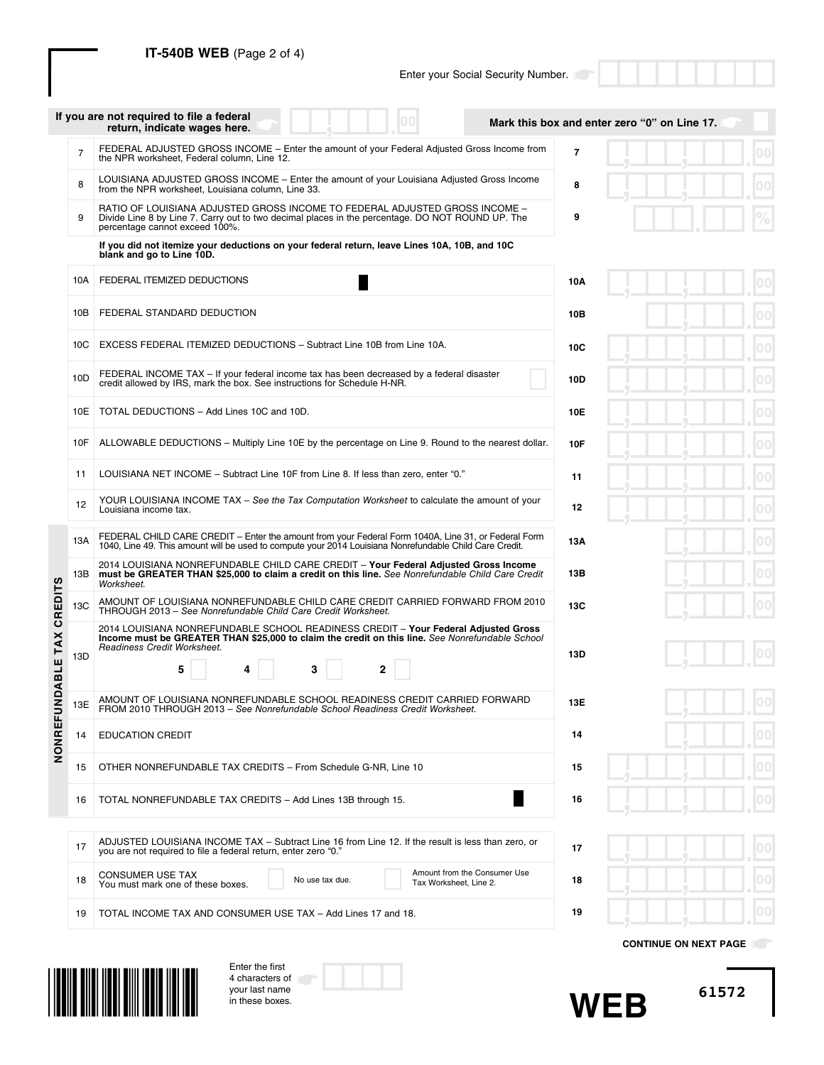**IT-540B WEB** (Page 2 of 4)

Enter the first 4 characters of your last name in these boxes.

|                |                | If you are not required to file a federal<br>return, indicate wages here.                                                                                                                                                                |            | Mark this box and enter zero "0" on Line 17. |              |
|----------------|----------------|------------------------------------------------------------------------------------------------------------------------------------------------------------------------------------------------------------------------------------------|------------|----------------------------------------------|--------------|
|                | $\overline{7}$ | FEDERAL ADJUSTED GROSS INCOME – Enter the amount of your Federal Adjusted Gross Income from<br>the NPR worksheet, Federal column, Line 12.                                                                                               | 7          |                                              |              |
|                | 8              | LOUISIANA ADJUSTED GROSS INCOME - Enter the amount of your Louisiana Adjusted Gross Income<br>from the NPR worksheet, Louisiana column, Line 33.                                                                                         | 8          |                                              |              |
|                | 9              | RATIO OF LOUISIANA ADJUSTED GROSS INCOME TO FEDERAL ADJUSTED GROSS INCOME -<br>Divide Line 8 by Line 7. Carry out to two decimal places in the percentage. DO NOT ROUND UP. The<br>percentage cannot exceed 100%.                        | 9          |                                              |              |
|                |                | If you did not itemize your deductions on your federal return, leave Lines 10A, 10B, and 10C<br>blank and go to Line 10D.                                                                                                                |            |                                              |              |
|                | 10A            | FEDERAL ITEMIZED DEDUCTIONS                                                                                                                                                                                                              | 10A        |                                              |              |
|                | 10B            | FEDERAL STANDARD DEDUCTION                                                                                                                                                                                                               | 10B        |                                              |              |
|                | 10C            | EXCESS FEDERAL ITEMIZED DEDUCTIONS - Subtract Line 10B from Line 10A.                                                                                                                                                                    | 10C        |                                              |              |
|                | 10D            | FEDERAL INCOME TAX – If your federal income tax has been decreased by a federal disaster<br>credit allowed by IRS, mark the box. See instructions for Schedule H-NR.                                                                     | 10D        |                                              | 00           |
|                | 10E            | TOTAL DEDUCTIONS - Add Lines 10C and 10D.                                                                                                                                                                                                | 10E        |                                              | $ 00\rangle$ |
|                | 10F            | ALLOWABLE DEDUCTIONS – Multiply Line 10E by the percentage on Line 9. Round to the nearest dollar.                                                                                                                                       | <b>10F</b> |                                              | $ 00\rangle$ |
|                | 11             | LOUISIANA NET INCOME - Subtract Line 10F from Line 8. If less than zero, enter "0."                                                                                                                                                      | 11         |                                              | $00 \,$      |
|                | 12             | YOUR LOUISIANA INCOME TAX - See the Tax Computation Worksheet to calculate the amount of your<br>Louisiana income tax.                                                                                                                   | 12         |                                              | 00           |
|                | 13A            | FEDERAL CHILD CARE CREDIT - Enter the amount from your Federal Form 1040A, Line 31, or Federal Form<br>1040, Line 49. This amount will be used to compute your 2014 Louisiana Nonrefundable Child Care Credit.                           | 13A        |                                              | $00 \,$      |
|                | 13B            | 2014 LOUISIANA NONREFUNDABLE CHILD CARE CREDIT - Your Federal Adjusted Gross Income<br>must be GREATER THAN \$25,000 to claim a credit on this line. See Nonrefundable Child Care Credit<br>Worksheet.                                   | 13B        |                                              |              |
| <b>CREDITS</b> | 13C            | AMOUNT OF LOUISIANA NONREFUNDABLE CHILD CARE CREDIT CARRIED FORWARD FROM 2010<br>THROUGH 2013 - See Nonrefundable Child Care Credit Worksheet.                                                                                           | <b>13C</b> |                                              |              |
| UNDABLE TAX    | 13D            | 2014 LOUISIANA NONREFUNDABLE SCHOOL READINESS CREDIT - Your Federal Adjusted Gross<br>Income must be GREATER THAN \$25,000 to claim the credit on this line. See Nonrefundable School<br>Readiness Credit Worksheet.<br>5<br>3<br>2<br>4 | 13D        |                                              |              |
|                | 13E            | AMOUNT OF LOUISIANA NONREFUNDABLE SCHOOL READINESS CREDIT CARRIED FORWARD                                                                                                                                                                | 13E        |                                              |              |
|                |                | FROM 2010 THROUGH 2013 - See Nonrefundable School Readiness Credit Worksheet.<br><b>EDUCATION CREDIT</b>                                                                                                                                 | 14         |                                              | $ 00\rangle$ |
| <b>NONREF</b>  | 14             |                                                                                                                                                                                                                                          |            |                                              |              |
|                | 15             | OTHER NONREFUNDABLE TAX CREDITS - From Schedule G-NR, Line 10                                                                                                                                                                            | 15         |                                              |              |
|                | 16             | TOTAL NONREFUNDABLE TAX CREDITS - Add Lines 13B through 15.                                                                                                                                                                              | 16         |                                              | $ 00\rangle$ |
|                | 17             | ADJUSTED LOUISIANA INCOME TAX – Subtract Line 16 from Line 12. If the result is less than zero, or<br>you are not required to file a federal return, enter zero "0."                                                                     | 17         |                                              | $ 00\rangle$ |
|                | 18             | Amount from the Consumer Use<br><b>CONSUMER USE TAX</b><br>No use tax due.<br>Tax Worksheet, Line 2.<br>You must mark one of these boxes.                                                                                                | 18         |                                              |              |
|                | 19             | TOTAL INCOME TAX AND CONSUMER USE TAX - Add Lines 17 and 18.                                                                                                                                                                             | 19         |                                              | 00           |
|                |                |                                                                                                                                                                                                                                          |            | <b>CONTINUE ON NEXT PAGE</b>                 |              |



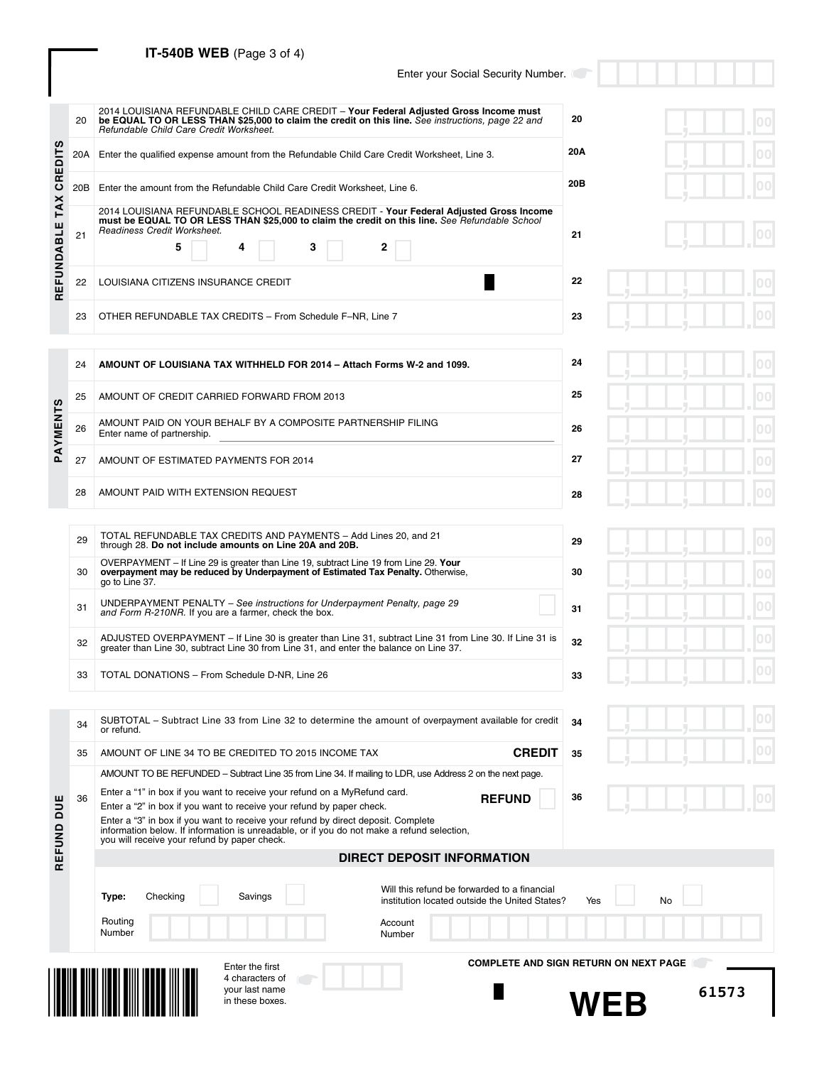# **IT-540B WEB** (Page 3 of 4)

## Enter your Social Security Number.

**33**

|                                     | 20  | 2014 LOUISIANA REFUNDABLE CHILD CARE CREDIT - Your Federal Adjusted Gross Income must<br>be EQUAL TO OR LESS THAN \$25,000 to claim the credit on this line. See instructions, page 22 and<br>Refundable Child Care Credit Worksheet.  | 20  |  |  |  |
|-------------------------------------|-----|----------------------------------------------------------------------------------------------------------------------------------------------------------------------------------------------------------------------------------------|-----|--|--|--|
| <b>SC</b><br>٥                      | 20A | Enter the qualified expense amount from the Refundable Child Care Credit Worksheet, Line 3.                                                                                                                                            | 20A |  |  |  |
| RE<br>$\mathbf c$<br>$\lambda$      | 20B | Enter the amount from the Refundable Child Care Credit Worksheet, Line 6.                                                                                                                                                              | 20B |  |  |  |
| ۳<br>$\overline{a}$<br>$\mathbf{a}$ | 21  | 2014 LOUISIANA REFUNDABLE SCHOOL READINESS CREDIT - Your Federal Adjusted Gross Income<br>must be EQUAL TO OR LESS THAN \$25,000 to claim the credit on this line. See Refundable School<br>Readiness Credit Worksheet.<br>5<br>4<br>3 | 21  |  |  |  |
| z<br>щ<br>Ш<br>$\mathbf{r}$         | 22  | LOUISIANA CITIZENS INSURANCE CREDIT                                                                                                                                                                                                    | 22  |  |  |  |
|                                     | 23  | OTHER REFUNDABLE TAX CREDITS - From Schedule F-NR, Line 7<br>23                                                                                                                                                                        |     |  |  |  |

|          | 24 | AMOUNT OF LOUISIANA TAX WITHHELD FOR 2014 - Attach Forms W-2 and 1099.                     | 24 |
|----------|----|--------------------------------------------------------------------------------------------|----|
|          | 25 | AMOUNT OF CREDIT CARRIED FORWARD FROM 2013                                                 | 25 |
| PAYMENTS | 26 | AMOUNT PAID ON YOUR BEHALF BY A COMPOSITE PARTNERSHIP FILING<br>Enter name of partnership. | 26 |
|          | 27 | AMOUNT OF ESTIMATED PAYMENTS FOR 2014                                                      | 27 |
|          | 28 | AMOUNT PAID WITH EXTENSION REQUEST                                                         | 28 |

| 29 | TOTAL REFUNDABLE TAX CREDITS AND PAYMENTS - Add Lines 20, and 21<br>through 28. Do not include amounts on Line 20A and 20B.                                                                       | 29 |
|----|---------------------------------------------------------------------------------------------------------------------------------------------------------------------------------------------------|----|
| 30 | OVERPAYMENT – If Line 29 is greater than Line 19, subtract Line 19 from Line 29. Your<br>overpayment may be reduced by Underpayment of Estimated Tax Penalty. Otherwise,<br>go to Line 37.        | 30 |
| 31 | UNDERPAYMENT PENALTY – See instructions for Underpayment Penalty, page 29<br>and Form R-210NR. If you are a farmer, check the box.                                                                | 31 |
| 32 | ADJUSTED OVERPAYMENT - If Line 30 is greater than Line 31, subtract Line 31 from Line 30. If Line 31 is<br>greater than Line 30, subtract Line 30 from Line 31, and enter the balance on Line 37. | 32 |
|    |                                                                                                                                                                                                   |    |

33 TOTAL DONATIONS – From Schedule D-NR, Line 26

|                   | 34 | SUBTOTAL – Subtract Line 33 from Line 32 to determine the amount of overpayment available for credit<br>or refund.                                                                                                                                                                                                                                                                                                                                                                                 |               | 34 |
|-------------------|----|----------------------------------------------------------------------------------------------------------------------------------------------------------------------------------------------------------------------------------------------------------------------------------------------------------------------------------------------------------------------------------------------------------------------------------------------------------------------------------------------------|---------------|----|
|                   | 35 | AMOUNT OF LINE 34 TO BE CREDITED TO 2015 INCOME TAX                                                                                                                                                                                                                                                                                                                                                                                                                                                | <b>CREDIT</b> | 35 |
| <b>DUE</b><br>gND | 36 | AMOUNT TO BE REFUNDED – Subtract Line 35 from Line 34. If mailing to LDR, use Address 2 on the next page.<br>Enter a "1" in box if you want to receive your refund on a MyRefund card.<br>Enter a "2" in box if you want to receive your refund by paper check.<br>Enter a "3" in box if you want to receive your refund by direct deposit. Complete<br>information below. If information is unreadable, or if you do not make a refund selection,<br>you will receive your refund by paper check. | <b>REFUND</b> | 36 |
| ш<br>ш            |    | DIRECT DEPOSIT INFORMATION                                                                                                                                                                                                                                                                                                                                                                                                                                                                         |               |    |

|               | ŋ      | 0 <sub>0</sub><br>г                                          |
|---------------|--------|--------------------------------------------------------------|
|               | ÿ      | $\overline{00}$<br>r.                                        |
|               | J      | $\overline{00}$<br>г                                         |
|               | J      | 00<br>г                                                      |
| $\frac{1}{2}$ |        | $\overline{00}$<br>E                                         |
| J             | $\int$ | 00<br>П                                                      |
|               |        |                                                              |
|               |        | $\overline{00}$<br>E                                         |
| コリコリ          | J      | $\overline{\overline{\mathbf{0}}\overline{\mathbf{0}}}$<br>E |
| J             | j      | $\overline{\overline{\mathbf{0}}\overline{\mathbf{0}}}$<br>r |
| -5            |        | 00<br>г                                                      |
| ń             | п      | 0 <sub>0</sub>                                               |

| ų | J | 00<br>п             |
|---|---|---------------------|
|   |   | 00<br>ш             |
|   |   | 0 <sub>0</sub><br>п |
| ч | ŋ | 00<br>п             |
|   |   | 0 <sub>0</sub><br>п |

|  | 00              |
|--|-----------------|
|  | 00 <sub>1</sub> |

|                            |    | 4 characters of<br>your last name<br>in these boxes.                                                                                                                                                                                                                                                     | 61573                                                                                                                                                                                   |
|----------------------------|----|----------------------------------------------------------------------------------------------------------------------------------------------------------------------------------------------------------------------------------------------------------------------------------------------------------|-----------------------------------------------------------------------------------------------------------------------------------------------------------------------------------------|
|                            |    | Savings<br>Checking<br>Type:<br>Routing<br>Number<br>Enter the first                                                                                                                                                                                                                                     | Will this refund be forwarded to a financial<br><b>No</b><br>Yes<br>institution located outside the United States?<br>Account<br>Number<br><b>COMPLETE AND SIGN RETURN ON NEXT PAGE</b> |
| ш.<br>꾠                    |    |                                                                                                                                                                                                                                                                                                          | <b>DIRECT DEPOSIT INFORMATION</b>                                                                                                                                                       |
| <b>SO</b><br>$\frac{0}{z}$ |    | Enter a "2" in box if you want to receive your refund by paper check.<br>Enter a "3" in box if you want to receive your refund by direct deposit. Complete<br>information below. If information is unreadable, or if you do not make a refund selection,<br>you will receive your refund by paper check. |                                                                                                                                                                                         |
|                            | 36 |                                                                                                                                                                                                                                                                                                          | <b>KEFUND</b><br>აი                                                                                                                                                                     |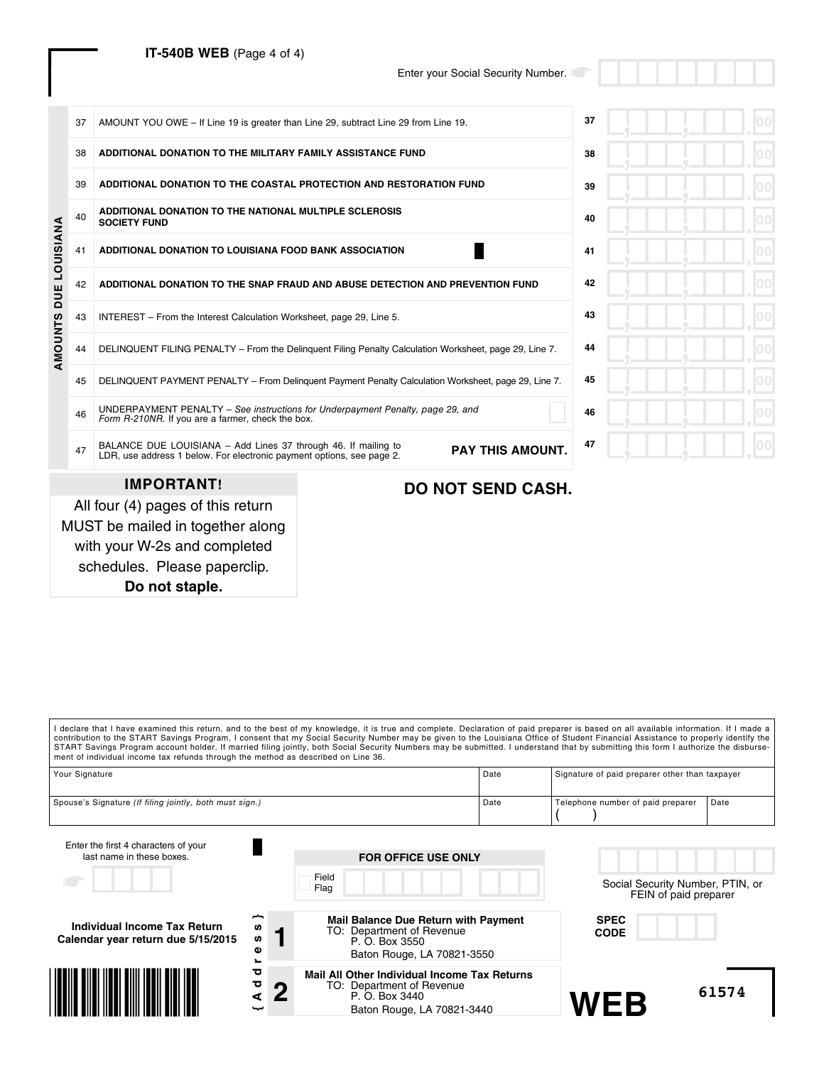# **IT-540B WEB** (Page 4 of 4)

Enter your Social Security Number.

|           | 37 | AMOUNT YOU OWE - If Line 19 is greater than Line 29, subtract Line 29 from Line 19.                                                     |                                                                                                        | 37       |
|-----------|----|-----------------------------------------------------------------------------------------------------------------------------------------|--------------------------------------------------------------------------------------------------------|----------|
|           | 38 | ADDITIONAL DONATION TO THE MILITARY FAMILY ASSISTANCE FUND                                                                              |                                                                                                        | 38       |
|           | 39 | ADDITIONAL DONATION TO THE COASTAL PROTECTION AND RESTORATION FUND                                                                      |                                                                                                        | 39       |
|           | 40 | ADDITIONAL DONATION TO THE NATIONAL MULTIPLE SCLEROSIS<br><b>SOCIETY FUND</b>                                                           |                                                                                                        | 40       |
| LOUISIANA | 41 | ADDITIONAL DONATION TO LOUISIANA FOOD BANK ASSOCIATION                                                                                  | 41                                                                                                     |          |
| DUE       | 42 | ADDITIONAL DONATION TO THE SNAP FRAUD AND ABUSE DETECTION AND PREVENTION FUND                                                           | 42                                                                                                     |          |
|           | 43 | INTEREST - From the Interest Calculation Worksheet, page 29, Line 5.                                                                    |                                                                                                        | 43       |
| AMOUNTS   | 44 |                                                                                                                                         | DELINQUENT FILING PENALTY - From the Delinquent Filing Penalty Calculation Worksheet, page 29, Line 7. | 44<br>OΟ |
|           | 45 |                                                                                                                                         | DELINQUENT PAYMENT PENALTY - From Delinquent Payment Penalty Calculation Worksheet, page 29, Line 7.   | 45       |
|           | 46 | UNDERPAYMENT PENALTY - See instructions for Underpayment Penalty, page 29, and<br>Form R-210NR. If you are a farmer, check the box.     |                                                                                                        | 46       |
|           | 47 | BALANCE DUE LOUISIANA - Add Lines 37 through 46. If mailing to<br>LDR, use address 1 below. For electronic payment options, see page 2. | 47                                                                                                     |          |
|           |    | <b>IMPORTANT!</b>                                                                                                                       | <b>DO NOT SEND CASH.</b>                                                                               |          |
|           |    | All four (4) pages of this return                                                                                                       |                                                                                                        |          |

MUST be mailed in together along with your W-2s and completed schedules. Please paperclip. **Do not staple.**

| l declare that I have examined this return, and to the best of my knowledge, it is true and complete. Declaration of paid preparer is based on all available information. If I made a                                                                                                                                                                                                                                                                         |              |                                                                                                                           |      |                                                           |       |
|---------------------------------------------------------------------------------------------------------------------------------------------------------------------------------------------------------------------------------------------------------------------------------------------------------------------------------------------------------------------------------------------------------------------------------------------------------------|--------------|---------------------------------------------------------------------------------------------------------------------------|------|-----------------------------------------------------------|-------|
| contribution to the START Savings Program, I consent that my Social Security Number may be given to the Louisiana Office of Student Financial Assistance to properly identify the<br>START Savings Program account holder. If married filing jointly, both Social Security Numbers may be submitted. I understand that by submitting this form I authorize the disburse-<br>ment of individual income tax refunds through the method as described on Line 36. |              |                                                                                                                           |      |                                                           |       |
| Your Signature                                                                                                                                                                                                                                                                                                                                                                                                                                                |              |                                                                                                                           | Date | Signature of paid preparer other than taxpayer            |       |
| Spouse's Signature (If filing jointly, both must sign.)                                                                                                                                                                                                                                                                                                                                                                                                       |              |                                                                                                                           | Date | Telephone number of paid preparer                         | Date  |
| Enter the first 4 characters of your<br>last name in these boxes.                                                                                                                                                                                                                                                                                                                                                                                             |              | <b>FOR OFFICE USE ONLY</b>                                                                                                |      |                                                           |       |
|                                                                                                                                                                                                                                                                                                                                                                                                                                                               |              | Field<br>Flag                                                                                                             |      | Social Security Number, PTIN, or<br>FEIN of paid preparer |       |
| Individual Income Tax Return<br>Calendar year return due 5/15/2015                                                                                                                                                                                                                                                                                                                                                                                            | n<br>U)<br>ω | Mail Balance Due Return with Payment<br>TO: Department of Revenue<br>P. O. Box 3550<br>Baton Rouge, LA 70821-3550         |      | <b>SPEC</b><br><b>CODE</b>                                |       |
|                                                                                                                                                                                                                                                                                                                                                                                                                                                               | ਠ<br>ъ       | Mail All Other Individual Income Tax Returns<br>TO: Department of Revenue<br>P. O. Box 3440<br>Baton Rouge, LA 70821-3440 |      | <b>WEB</b>                                                | 61574 |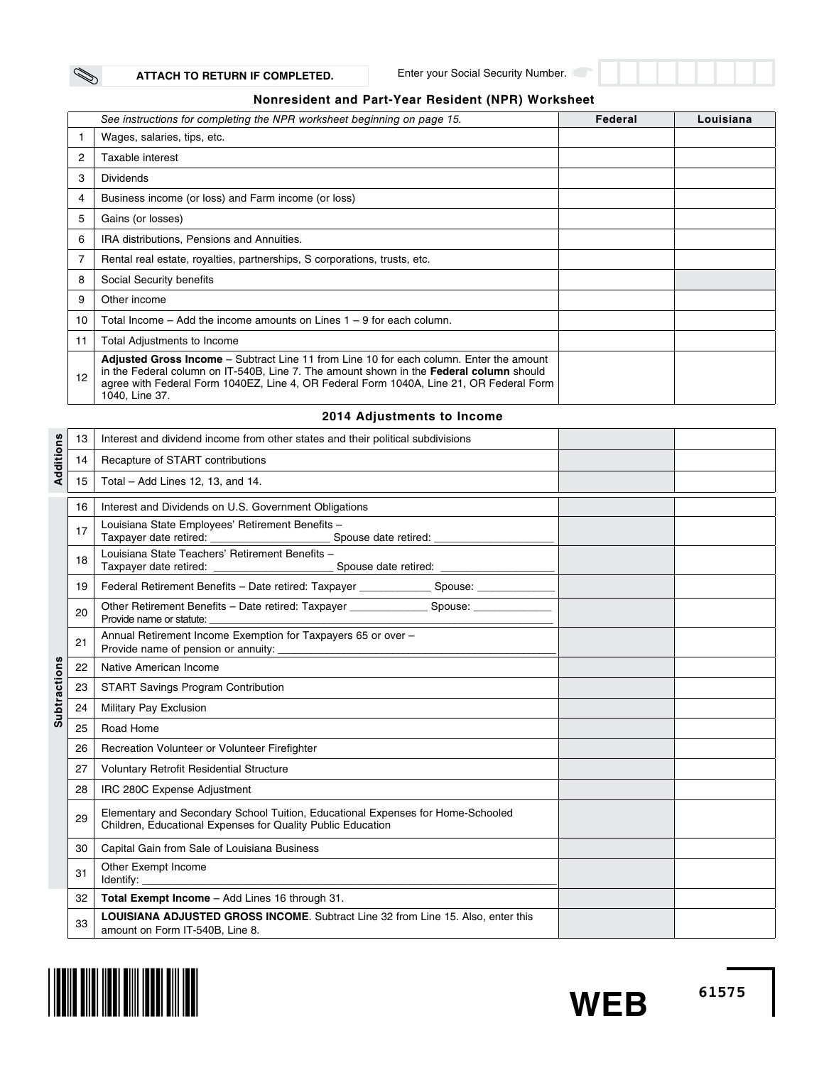Enter your Social Security Number.

## **Nonresident and Part-Year Resident (NPR) Worksheet**

|    | See instructions for completing the NPR worksheet beginning on page 15.                                                                                                                                                                                                                                       | Federal | Louisiana |
|----|---------------------------------------------------------------------------------------------------------------------------------------------------------------------------------------------------------------------------------------------------------------------------------------------------------------|---------|-----------|
|    | Wages, salaries, tips, etc.                                                                                                                                                                                                                                                                                   |         |           |
| 2  | Taxable interest                                                                                                                                                                                                                                                                                              |         |           |
| 3  | <b>Dividends</b>                                                                                                                                                                                                                                                                                              |         |           |
| 4  | Business income (or loss) and Farm income (or loss)                                                                                                                                                                                                                                                           |         |           |
| 5  | Gains (or losses)                                                                                                                                                                                                                                                                                             |         |           |
| 6  | IRA distributions, Pensions and Annuities.                                                                                                                                                                                                                                                                    |         |           |
|    | Rental real estate, royalties, partnerships, S corporations, trusts, etc.                                                                                                                                                                                                                                     |         |           |
| 8  | Social Security benefits                                                                                                                                                                                                                                                                                      |         |           |
| 9  | Other income                                                                                                                                                                                                                                                                                                  |         |           |
| 10 | Total Income – Add the income amounts on Lines $1 - 9$ for each column.                                                                                                                                                                                                                                       |         |           |
| 11 | Total Adjustments to Income                                                                                                                                                                                                                                                                                   |         |           |
| 12 | <b>Adjusted Gross Income</b> – Subtract Line 11 from Line 10 for each column. Enter the amount<br>in the Federal column on IT-540B, Line 7. The amount shown in the <b>Federal column</b> should<br>agree with Federal Form 1040EZ, Line 4, OR Federal Form 1040A, Line 21, OR Federal Form<br>1040, Line 37. |         |           |

## **2014 Adjustments to Income**

|                     | 13 | Interest and dividend income from other states and their political subdivisions                                                                         |  |
|---------------------|----|---------------------------------------------------------------------------------------------------------------------------------------------------------|--|
| Additions           | 14 | Recapture of START contributions                                                                                                                        |  |
|                     | 15 | Total - Add Lines 12, 13, and 14.                                                                                                                       |  |
|                     | 16 | Interest and Dividends on U.S. Government Obligations                                                                                                   |  |
|                     | 17 | Louisiana State Employees' Retirement Benefits -                                                                                                        |  |
|                     | 18 | Louisiana State Teachers' Retirement Benefits -<br>Taxpayer date retired: ________________________________Spouse date retired: ________________________ |  |
|                     | 19 | Tenderal Retirement Benefits - Date retired: Taxpayer _______________ Spouse: _____________                                                             |  |
|                     | 20 | Provide name or statute:                                                                                                                                |  |
|                     | 21 | Annual Retirement Income Exemption for Taxpayers 65 or over -                                                                                           |  |
|                     | 22 | Native American Income                                                                                                                                  |  |
| <b>Subtractions</b> | 23 | <b>START Savings Program Contribution</b>                                                                                                               |  |
|                     | 24 | Military Pay Exclusion                                                                                                                                  |  |
|                     | 25 | Road Home                                                                                                                                               |  |
|                     | 26 | Recreation Volunteer or Volunteer Firefighter                                                                                                           |  |
|                     | 27 | <b>Voluntary Retrofit Residential Structure</b>                                                                                                         |  |
|                     | 28 | IRC 280C Expense Adjustment                                                                                                                             |  |
|                     | 29 | Elementary and Secondary School Tuition, Educational Expenses for Home-Schooled<br>Children, Educational Expenses for Quality Public Education          |  |
|                     | 30 | Capital Gain from Sale of Louisiana Business                                                                                                            |  |
|                     | 31 | Other Exempt Income                                                                                                                                     |  |
|                     | 32 | Total Exempt Income - Add Lines 16 through 31.                                                                                                          |  |
|                     | 33 | LOUISIANA ADJUSTED GROSS INCOME. Subtract Line 32 from Line 15. Also, enter this<br>amount on Form IT-540B, Line 8.                                     |  |





Í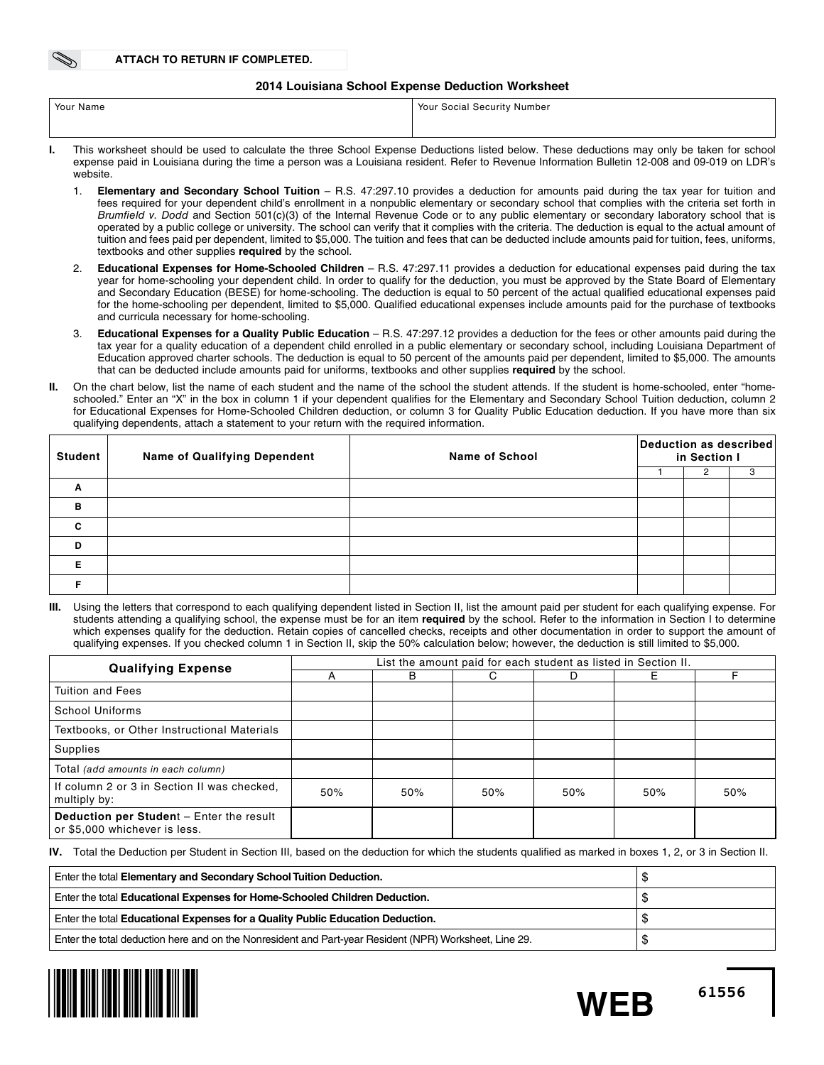### **2014 Louisiana School Expense Deduction Worksheet**

| Your Name | <sup>1</sup> Your Social Security Number                                                                                                                                                                                       |
|-----------|--------------------------------------------------------------------------------------------------------------------------------------------------------------------------------------------------------------------------------|
|           |                                                                                                                                                                                                                                |
|           | This condition about the coordinate included the coordinate the coordination of the conditional community of the coordinate of the coordinate of the coordinate of the coordinate of the coordinate of the coordinate of the c |

- **I.** This worksheet should be used to calculate the three School Expense Deductions listed below. These deductions may only be taken for school expense paid in Louisiana during the time a person was a Louisiana resident. Refer to Revenue Information Bulletin 12-008 and 09-019 on LDR's website.
	- 1. **Elementary and Secondary School Tuition** R.S. 47:297.10 provides a deduction for amounts paid during the tax year for tuition and fees required for your dependent child's enrollment in a nonpublic elementary or secondary school that complies with the criteria set forth in *Brumfield v. Dodd* and Section 501(c)(3) of the Internal Revenue Code or to any public elementary or secondary laboratory school that is operated by a public college or university. The school can verify that it complies with the criteria. The deduction is equal to the actual amount of tuition and fees paid per dependent, limited to \$5,000. The tuition and fees that can be deducted include amounts paid for tuition, fees, uniforms, textbooks and other supplies **required** by the school.
	- 2. **Educational Expenses for Home-Schooled Children** R.S. 47:297.11 provides a deduction for educational expenses paid during the tax year for home-schooling your dependent child. In order to qualify for the deduction, you must be approved by the State Board of Elementary and Secondary Education (BESE) for home-schooling. The deduction is equal to 50 percent of the actual qualified educational expenses paid for the home-schooling per dependent, limited to \$5,000. Qualified educational expenses include amounts paid for the purchase of textbooks and curricula necessary for home-schooling.
	- 3. **Educational Expenses for a Quality Public Education** R.S. 47:297.12 provides a deduction for the fees or other amounts paid during the tax year for a quality education of a dependent child enrolled in a public elementary or secondary school, including Louisiana Department of Education approved charter schools. The deduction is equal to 50 percent of the amounts paid per dependent, limited to \$5,000. The amounts that can be deducted include amounts paid for uniforms, textbooks and other supplies **required** by the school.
- **II.** On the chart below, list the name of each student and the name of the school the student attends. If the student is home-schooled, enter "homeschooled." Enter an "X" in the box in column 1 if your dependent qualifies for the Elementary and Secondary School Tuition deduction, column 2 for Educational Expenses for Home-Schooled Children deduction, or column 3 for Quality Public Education deduction. If you have more than six qualifying dependents, attach a statement to your return with the required information.

| <b>Student</b> | <b>Name of Qualifying Dependent</b> | <b>Name of School</b> | Deduction as described<br>in Section I |  |  |  |  |
|----------------|-------------------------------------|-----------------------|----------------------------------------|--|--|--|--|
|                |                                     |                       |                                        |  |  |  |  |
| Α              |                                     |                       |                                        |  |  |  |  |
| B              |                                     |                       |                                        |  |  |  |  |
| $\mathbf{c}$   |                                     |                       |                                        |  |  |  |  |
| D              |                                     |                       |                                        |  |  |  |  |
| Е              |                                     |                       |                                        |  |  |  |  |
|                |                                     |                       |                                        |  |  |  |  |

Using the letters that correspond to each qualifying dependent listed in Section II, list the amount paid per student for each qualifying expense. For students attending a qualifying school, the expense must be for an item **required** by the school. Refer to the information in Section I to determine which expenses qualify for the deduction. Retain copies of cancelled checks, receipts and other documentation in order to support the amount of qualifying expenses. If you checked column 1 in Section II, skip the 50% calculation below; however, the deduction is still limited to \$5,000.

| <b>Qualifying Expense</b>                                                 | List the amount paid for each student as listed in Section II. |     |     |     |     |     |  |  |  |
|---------------------------------------------------------------------------|----------------------------------------------------------------|-----|-----|-----|-----|-----|--|--|--|
|                                                                           |                                                                | B   | C.  | D   | Е   |     |  |  |  |
| <b>Tuition and Fees</b>                                                   |                                                                |     |     |     |     |     |  |  |  |
| School Uniforms                                                           |                                                                |     |     |     |     |     |  |  |  |
| Textbooks, or Other Instructional Materials                               |                                                                |     |     |     |     |     |  |  |  |
| Supplies                                                                  |                                                                |     |     |     |     |     |  |  |  |
| Total (add amounts in each column)                                        |                                                                |     |     |     |     |     |  |  |  |
| If column 2 or 3 in Section II was checked.<br>multiply by:               | 50%                                                            | 50% | 50% | 50% | 50% | 50% |  |  |  |
| Deduction per Student - Enter the result<br>or \$5,000 whichever is less. |                                                                |     |     |     |     |     |  |  |  |

**IV.** Total the Deduction per Student in Section III, based on the deduction for which the students qualified as marked in boxes 1, 2, or 3 in Section II.

| Enter the total Elementary and Secondary School Tuition Deduction.                                     |  |
|--------------------------------------------------------------------------------------------------------|--|
| Enter the total Educational Expenses for Home-Schooled Children Deduction.                             |  |
| Enter the total Educational Expenses for a Quality Public Education Deduction.                         |  |
| Enter the total deduction here and on the Nonresident and Part-year Resident (NPR) Worksheet, Line 29. |  |



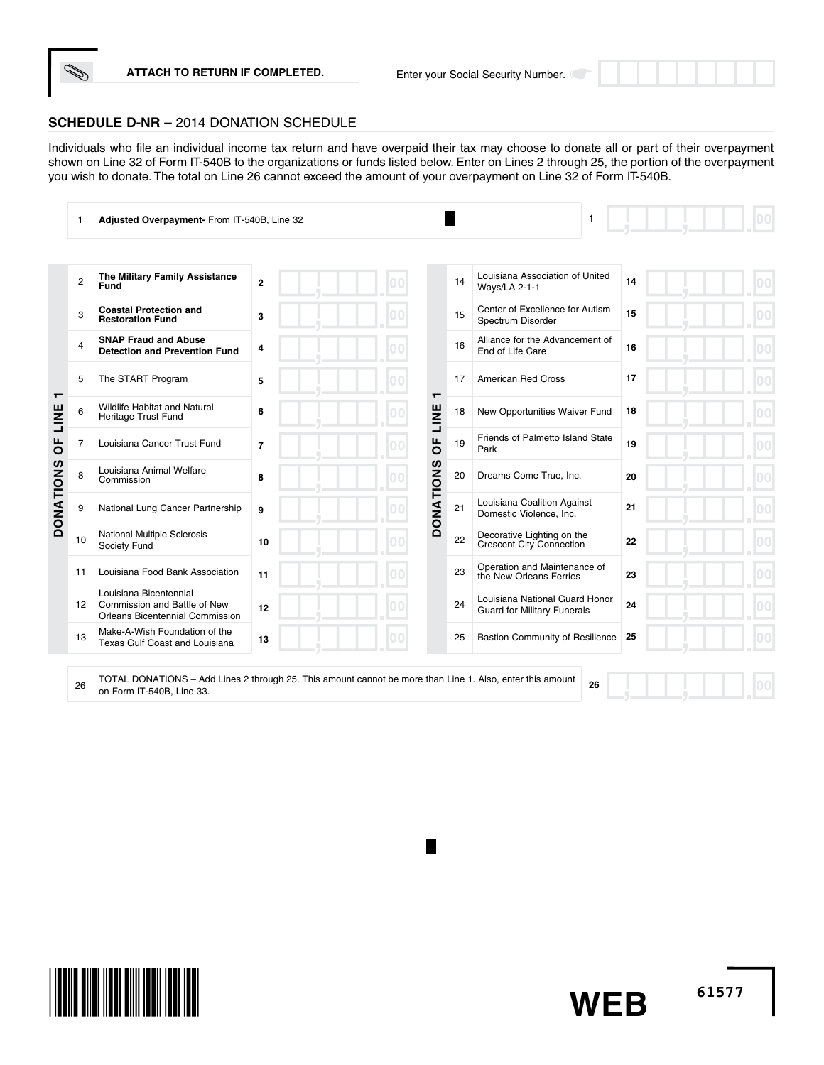

Individuals who file an individual income tax return and have overpaid their tax may choose to donate all or part of their overpayment shown on Line 32 of Form IT-540B to the organizations or funds listed below. Enter on Lines 2 through 25, the portion of the overpayment you wish to donate. The total on Line 26 cannot exceed the amount of your overpayment on Line 32 of Form IT-540B.

|                     | 1              | Adjusted Overpayment- From IT-540B, Line 32                                                                                            |                |    |                  |    | 1                                                                    |    |  |
|---------------------|----------------|----------------------------------------------------------------------------------------------------------------------------------------|----------------|----|------------------|----|----------------------------------------------------------------------|----|--|
|                     |                |                                                                                                                                        |                |    |                  |    |                                                                      |    |  |
|                     | $\overline{c}$ | The Military Family Assistance<br>Fund                                                                                                 | $\overline{2}$ |    |                  | 14 | Louisiana Association of United<br><b>Ways/LA 2-1-1</b>              | 14 |  |
|                     | 3              | <b>Coastal Protection and</b><br><b>Restoration Fund</b>                                                                               | 3              |    |                  | 15 | Center of Excellence for Autism<br>Spectrum Disorder                 | 15 |  |
|                     | 4              | <b>SNAP Fraud and Abuse</b><br><b>Detection and Prevention Fund</b>                                                                    | 4              |    |                  | 16 | Alliance for the Advancement of<br>End of Life Care                  | 16 |  |
|                     | 5              | The START Program                                                                                                                      | 5              |    |                  | 17 | <b>American Red Cross</b>                                            | 17 |  |
| $\mathbf -$<br>LINE | 6              | Wildlife Habitat and Natural<br>Heritage Trust Fund                                                                                    | 6              |    | ┯<br>LINE        | 18 | New Opportunities Waiver Fund                                        | 18 |  |
| $\overline{0}$      | 7              | Louisiana Cancer Trust Fund                                                                                                            | $\overline{7}$ |    | щ<br>ō           | 19 | Friends of Palmetto Island State<br>Park                             | 19 |  |
|                     | 8              | Louisiana Animal Welfare<br>Commission                                                                                                 | 8              |    |                  | 20 | Dreams Come True, Inc.                                               | 20 |  |
| <b>DONATIONS</b>    | 9              | National Lung Cancer Partnership                                                                                                       | 9              | 00 | <b>DONATIONS</b> | 21 | Louisiana Coalition Against<br>Domestic Violence, Inc.               | 21 |  |
|                     | 10             | National Multiple Sclerosis<br>Society Fund                                                                                            | 10             |    |                  | 22 | Decorative Lighting on the<br>Crescent City Connection               | 22 |  |
|                     | 11             | Louisiana Food Bank Association                                                                                                        | 11             | 00 |                  | 23 | Operation and Maintenance of<br>the New Orleans Ferries              | 23 |  |
|                     | 12             | Louisiana Bicentennial<br>Commission and Battle of New<br><b>Orleans Bicentennial Commission</b>                                       | 12             |    |                  | 24 | Louisiana National Guard Honor<br><b>Guard for Military Funerals</b> | 24 |  |
|                     | 13             | Make-A-Wish Foundation of the<br>Texas Gulf Coast and Louisiana                                                                        | 13             |    |                  | 25 | <b>Bastion Community of Resilience</b>                               | 25 |  |
|                     | 26             | TOTAL DONATIONS - Add Lines 2 through 25. This amount cannot be more than Line 1. Also, enter this amount<br>on Form IT-540B. Line 33. |                |    |                  |    | 26                                                                   |    |  |

**61577**

**WEB**

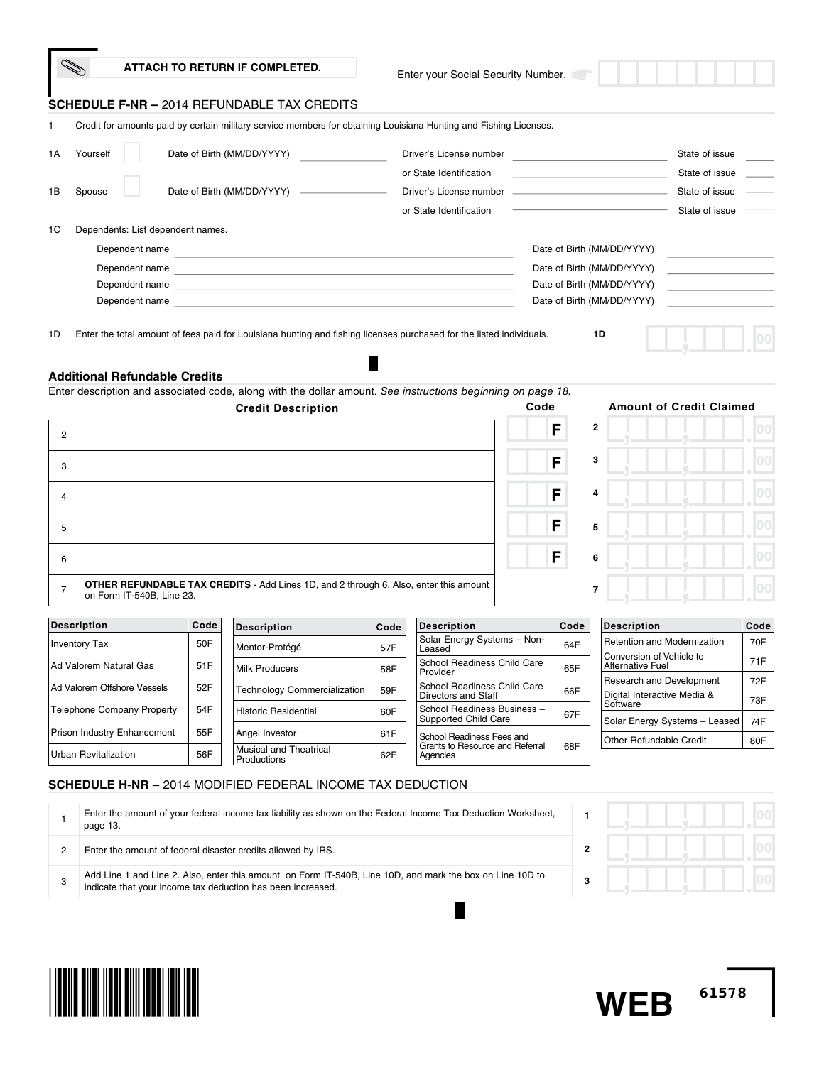|                |                                   |      | ATTACH TO RETURN IF COMPLETED.                                                                                                                                                                                                                   |      | Enter your Social Security Number.    |      |                                                                |                                 |                        |
|----------------|-----------------------------------|------|--------------------------------------------------------------------------------------------------------------------------------------------------------------------------------------------------------------------------------------------------|------|---------------------------------------|------|----------------------------------------------------------------|---------------------------------|------------------------|
|                |                                   |      | <b>SCHEDULE F-NR - 2014 REFUNDABLE TAX CREDITS</b>                                                                                                                                                                                               |      |                                       |      |                                                                |                                 |                        |
| 1.             |                                   |      | Credit for amounts paid by certain military service members for obtaining Louisiana Hunting and Fishing Licenses.                                                                                                                                |      |                                       |      |                                                                |                                 |                        |
| 1A             | Yourself                          |      | Date of Birth (MM/DD/YYYY)                                                                                                                                                                                                                       |      | Driver's License number               |      |                                                                | State of issue                  |                        |
|                |                                   |      |                                                                                                                                                                                                                                                  |      | or State Identification               |      |                                                                | State of issue                  |                        |
| 1B             | Spouse                            |      | Date of Birth (MM/DD/YYYY) -                                                                                                                                                                                                                     |      | Driver's License number               |      |                                                                | State of issue                  |                        |
|                |                                   |      |                                                                                                                                                                                                                                                  |      | or State Identification               |      |                                                                | State of issue                  |                        |
| 1C             | Dependents: List dependent names. |      |                                                                                                                                                                                                                                                  |      |                                       |      |                                                                |                                 |                        |
|                | Dependent name                    |      | <u> 1980 - Johann Barbara, martxa alemaniar a</u>                                                                                                                                                                                                |      |                                       |      | Date of Birth (MM/DD/YYYY)                                     |                                 |                        |
|                |                                   |      | Dependent name<br>Dependent name the contract of the contract of the contract of the contract of the contract of the contract of the contract of the contract of the contract of the contract of the contract of the contract of the contract of |      |                                       |      | Date of Birth (MM/DD/YYYY)<br>Date of Birth (MM/DD/YYYY)       |                                 |                        |
|                |                                   |      | Dependent name that the contract of the contract of the contract of the contract of the contract of the contract of the contract of the contract of the contract of the contract of the contract of the contract of the contra                   |      |                                       |      | Date of Birth (MM/DD/YYYY)                                     |                                 |                        |
|                |                                   |      | Enter description and associated code, along with the dollar amount. See instructions beginning on page 18.<br><b>Credit Description</b>                                                                                                         |      |                                       | Code |                                                                | <b>Amount of Credit Claimed</b> |                        |
| $\overline{2}$ |                                   |      |                                                                                                                                                                                                                                                  |      |                                       | F    | $\mathbf{2}$                                                   |                                 | 00                     |
| 3              |                                   |      |                                                                                                                                                                                                                                                  |      |                                       | F    | 3                                                              |                                 | 0 <sub>0</sub>         |
| 4              |                                   |      |                                                                                                                                                                                                                                                  |      |                                       | F    | 4                                                              |                                 |                        |
| 5              |                                   |      |                                                                                                                                                                                                                                                  |      |                                       | F    | 5                                                              |                                 | 00                     |
| 6              |                                   |      |                                                                                                                                                                                                                                                  |      |                                       | F    | 6                                                              |                                 | 00                     |
| $\overline{7}$ | on Form IT-540B, Line 23.         |      | <b>OTHER REFUNDABLE TAX CREDITS</b> - Add Lines 1D, and 2 through 6. Also, enter this amount                                                                                                                                                     |      |                                       |      | 7                                                              |                                 |                        |
|                | <b>Description</b>                | Code |                                                                                                                                                                                                                                                  |      |                                       |      |                                                                |                                 |                        |
|                |                                   |      |                                                                                                                                                                                                                                                  | Code | <b>Description</b>                    | Code | <b>Description</b>                                             |                                 | 0 <sup>0</sup><br>Code |
|                | <b>Inventory Tax</b>              | 50F  | <b>Description</b><br>Mentor-Protégé                                                                                                                                                                                                             | 57F  | Solar Energy Systems - Non-<br>Leased | 64F  | <b>Retention and Modernization</b><br>Conversion of Vehicle to |                                 | 70F                    |

|                                   |     | <b>UNGHIOFI</b> TURGUE              | ا ا ت |                                         | ---- |                                 |     |
|-----------------------------------|-----|-------------------------------------|-------|-----------------------------------------|------|---------------------------------|-----|
|                                   |     |                                     |       | Leaseu                                  |      | Conversion of Vehicle to        |     |
| Ad Valorem Natural Gas            | 51F | <b>Milk Producers</b>               | 58F   | School Readiness Child Care<br>Provider | 65F  | <b>Alternative Fuel</b>         | 71F |
|                                   |     |                                     |       |                                         |      | <b>Research and Development</b> | 72F |
| Ad Valorem Offshore Vessels       | 52F |                                     |       | School Readiness Child Care             |      |                                 |     |
|                                   |     | <b>Technology Commercialization</b> | 59F   | Directors and Staff                     | 66F  | Digital Interactive Media &     | 73F |
| <b>Telephone Company Property</b> | 54F |                                     |       | School Readiness Business -             |      | Software                        |     |
|                                   |     | <b>Historic Residential</b>         | 60F   | Supported Child Care                    | 67F  | Solar Energy Systems - Leased   | 74F |
|                                   |     |                                     |       |                                         |      |                                 |     |
| Prison Industry Enhancement       | 55F | Angel Investor                      | 61F   | School Readiness Fees and               |      | <b>Other Refundable Credit</b>  | 80F |
|                                   |     | <b>Musical and Theatrical</b>       |       | Grants to Resource and Referral         | 68F  |                                 |     |
| Urban Revitalization              | 56F | Productions                         | 62F   | Agencies                                |      |                                 |     |

# **SCHEDULE H-NR –** 2014 MODIFIED FEDERAL INCOME TAX DEDUCTION

| Enter the amount of your federal income tax liability as shown on the Federal Income Tax Deduction Worksheet,<br>page 13.                                                |  |  |
|--------------------------------------------------------------------------------------------------------------------------------------------------------------------------|--|--|
| Enter the amount of federal disaster credits allowed by IRS.                                                                                                             |  |  |
| Add Line 1 and Line 2. Also, enter this amount on Form IT-540B, Line 10D, and mark the box on Line 10D to<br>indicate that your income tax deduction has been increased. |  |  |
|                                                                                                                                                                          |  |  |



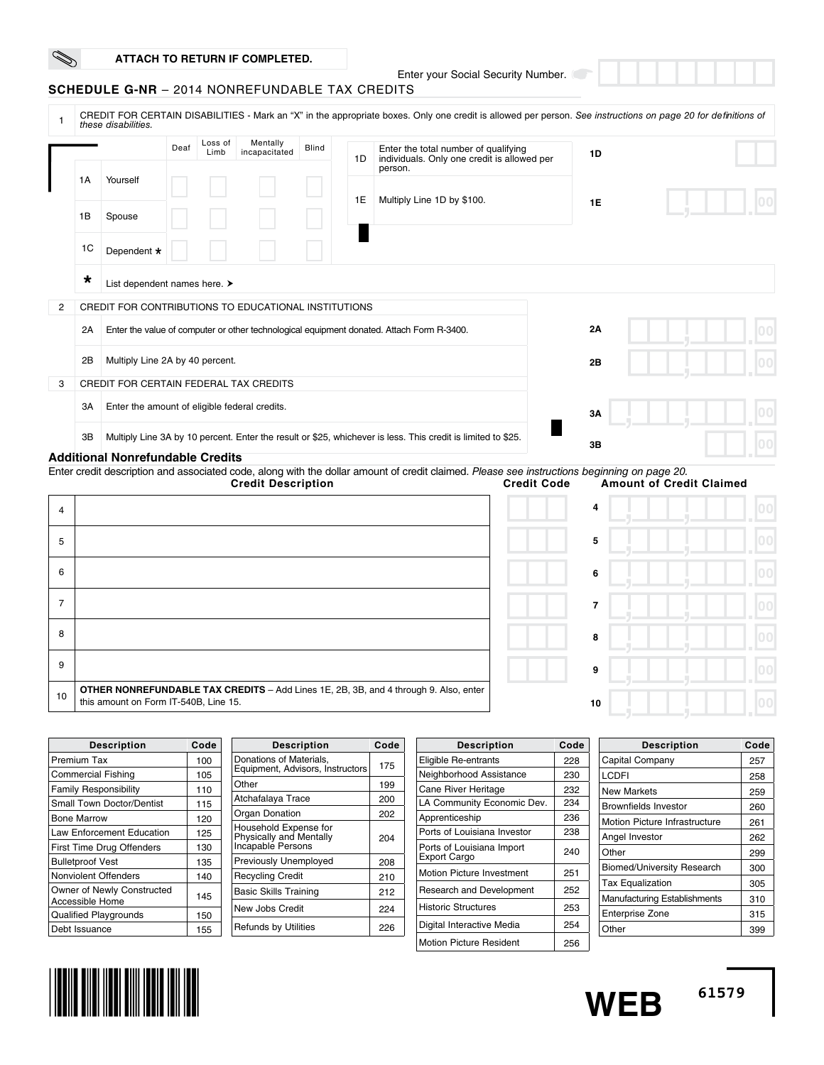Enter your Social Security Number.

## **SCHEDULE G-NR** – 2014 NONREFUNDABLE TAX CREDITS

|   |         | these disabilities.                                  |  |                           |                    |                                                                                           |                                                                                                | CREDIT FOR CERTAIN DISABILITIES - Mark an "X" in the appropriate boxes. Only one credit is allowed per person. See instructions on page 20 for definitions of |           |  |
|---|---------|------------------------------------------------------|--|---------------------------|--------------------|-------------------------------------------------------------------------------------------|------------------------------------------------------------------------------------------------|---------------------------------------------------------------------------------------------------------------------------------------------------------------|-----------|--|
|   |         | Loss of<br>Deaf<br>Limb                              |  | Mentally<br>incapacitated | <b>Blind</b><br>1D |                                                                                           | Enter the total number of qualifying<br>individuals. Only one credit is allowed per<br>person. | 1D                                                                                                                                                            |           |  |
|   | 1A      | Yourself                                             |  |                           |                    |                                                                                           | 1E                                                                                             | Multiply Line 1D by \$100.                                                                                                                                    | <b>1E</b> |  |
|   | 1B      | Spouse                                               |  |                           |                    |                                                                                           |                                                                                                |                                                                                                                                                               |           |  |
|   | 1C      | Dependent *                                          |  |                           |                    |                                                                                           |                                                                                                |                                                                                                                                                               |           |  |
|   | $\star$ | List dependent names here. >                         |  |                           |                    |                                                                                           |                                                                                                |                                                                                                                                                               |           |  |
| 2 |         | CREDIT FOR CONTRIBUTIONS TO EDUCATIONAL INSTITUTIONS |  |                           |                    |                                                                                           |                                                                                                |                                                                                                                                                               |           |  |
|   | 2A      |                                                      |  |                           |                    | Enter the value of computer or other technological equipment donated. Attach Form R-3400. | 2A                                                                                             |                                                                                                                                                               |           |  |
|   | 2B      | Multiply Line 2A by 40 percent.                      |  |                           |                    |                                                                                           |                                                                                                |                                                                                                                                                               | 2B        |  |
| 3 |         | <b>CREDIT FOR CERTAIN FEDERAL TAX CREDITS</b>        |  |                           |                    |                                                                                           |                                                                                                |                                                                                                                                                               |           |  |
|   | 3A      | Enter the amount of eligible federal credits.        |  |                           |                    |                                                                                           | 3A                                                                                             |                                                                                                                                                               |           |  |
|   | 3B      |                                                      |  |                           |                    |                                                                                           |                                                                                                | Multiply Line 3A by 10 percent. Enter the result or \$25, whichever is less. This credit is limited to \$25.                                                  | 3B        |  |

#### **Additional Nonrefundable Credits**

Enter credit description and associated code, along with the dollar amount of credit claimed. *Please see instructions beginning on page 20.* **Amount of Credit Claimed** 

| $\overline{4}$ |                                                                                                                               | 4  |  |
|----------------|-------------------------------------------------------------------------------------------------------------------------------|----|--|
| 5              |                                                                                                                               | 5  |  |
| 6              |                                                                                                                               | 6  |  |
|                |                                                                                                                               | 7  |  |
| 8              |                                                                                                                               | 8  |  |
| 9              |                                                                                                                               | 9  |  |
| 10             | OTHER NONREFUNDABLE TAX CREDITS - Add Lines 1E, 2B, 3B, and 4 through 9. Also, enter<br>this amount on Form IT-540B, Line 15. | 10 |  |

| <b>Description</b>               | Code | <b>Description</b>                               | Code |
|----------------------------------|------|--------------------------------------------------|------|
| Premium Tax                      | 100  | Donations of Materials,                          | 175  |
| <b>Commercial Fishing</b>        | 105  | Equipment, Advisors, Instructors                 |      |
| <b>Family Responsibility</b>     | 110  | Other                                            | 199  |
| <b>Small Town Doctor/Dentist</b> | 115  | Atchafalaya Trace                                | 200  |
| <b>Bone Marrow</b>               | 120  | Organ Donation                                   | 202  |
| <b>Law Enforcement Education</b> | 125  | Household Expense for<br>Physically and Mentally | 204  |
| First Time Drug Offenders        | 130  | Incapable Persons                                |      |
| <b>Bulletproof Vest</b>          | 135  | Previously Unemployed                            | 208  |
| Nonviolent Offenders             | 140  | <b>Recycling Credit</b>                          | 210  |
| Owner of Newly Constructed       | 145  | <b>Basic Skills Training</b>                     | 212  |
| Accessible Home                  |      | New Jobs Credit                                  | 224  |
| <b>Qualified Playgrounds</b>     | 150  |                                                  |      |
| Debt Issuance                    | 155  | <b>Refunds by Utilities</b>                      | 226  |

| ,,,,,,,,,,,,                                                          |     |
|-----------------------------------------------------------------------|-----|
| Donations of Materials,<br>Equipment, Advisors, Instructors           | 175 |
| Other                                                                 | 199 |
| Atchafalaya Trace                                                     | 200 |
| <b>Organ Donation</b>                                                 | 202 |
| Household Expense for<br>Physically and Mentally<br>Incapable Persons | 204 |
| Previously Unemployed                                                 | 208 |
| <b>Recycling Credit</b>                                               | 210 |
| <b>Basic Skills Training</b>                                          | 212 |
| New Jobs Credit                                                       | 224 |
| <b>Refunds by Utilities</b>                                           | 226 |
|                                                                       |     |

| <b>Description</b>                               | Code |
|--------------------------------------------------|------|
| Eligible Re-entrants                             | 228  |
| Neighborhood Assistance                          | 230  |
| Cane River Heritage                              | 232  |
| LA Community Economic Dev.                       | 234  |
| Apprenticeship                                   | 236  |
| Ports of Louisiana Investor                      | 238  |
| Ports of Louisiana Import<br><b>Export Cargo</b> | 240  |
| <b>Motion Picture Investment</b>                 | 251  |
| <b>Research and Development</b>                  | 252  |
| <b>Historic Structures</b>                       | 253  |
| Digital Interactive Media                        | 254  |
| Motion Picture Resident                          | 256  |

| <b>Description</b>                  | Code |
|-------------------------------------|------|
| Capital Company                     | 257  |
| LCDFI                               | 258  |
| <b>New Markets</b>                  | 259  |
| Brownfields Investor                | 260  |
| Motion Picture Infrastructure       | 261  |
| Angel Investor                      | 262  |
| Other                               | 299  |
| Biomed/University Research          | 300  |
| <b>Tax Equalization</b>             | 305  |
| <b>Manufacturing Establishments</b> | 310  |
| <b>Enterprise Zone</b>              | 315  |
| Other                               | 399  |



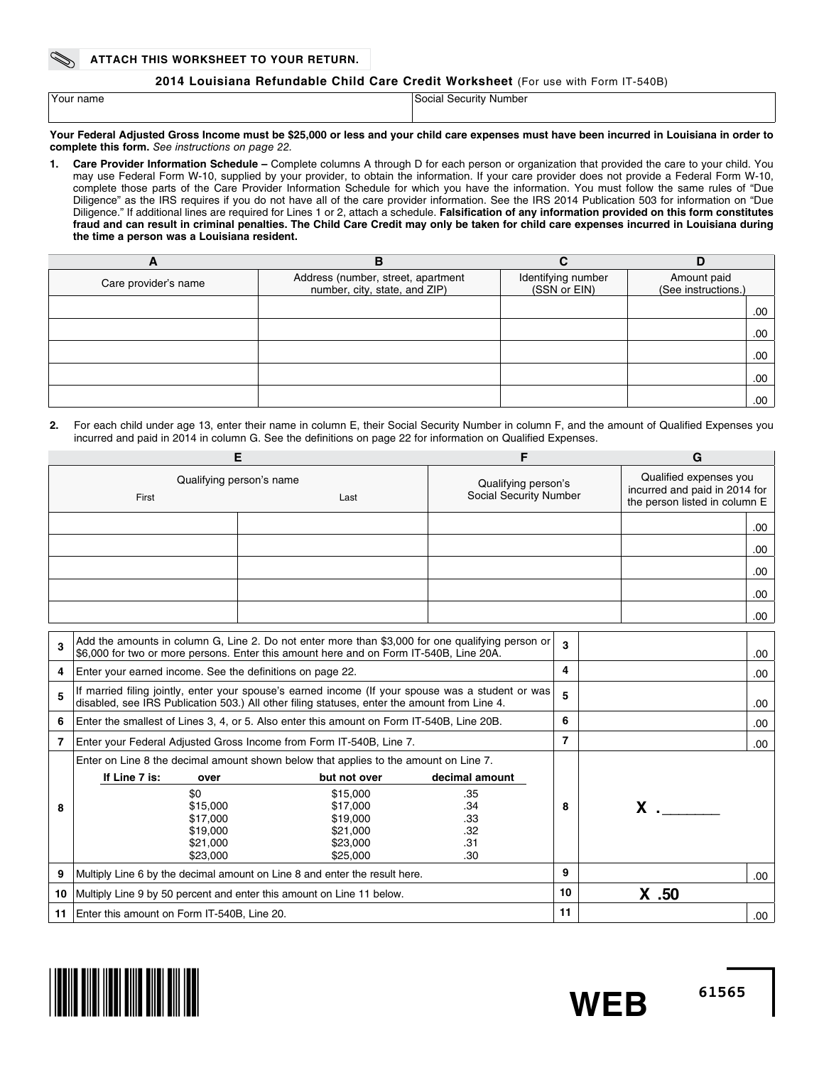#### **Attach this worksheet to your return.**

### **2014 Louisiana Refundable Child Care Credit Worksheet** (For use with Form IT-540B)

| Your name | Social Security Number |
|-----------|------------------------|
|           |                        |

#### **Your Federal Adjusted Gross Income must be \$25,000 or less and your child care expenses must have been incurred in Louisiana in order to complete this form.** *See instructions on page 22.*

**1. Care Provider Information Schedule –** Complete columns A through D for each person or organization that provided the care to your child. You may use Federal Form W-10, supplied by your provider, to obtain the information. If your care provider does not provide a Federal Form W-10, complete those parts of the Care Provider Information Schedule for which you have the information. You must follow the same rules of "Due Diligence" as the IRS requires if you do not have all of the care provider information. See the IRS 2014 Publication 503 for information on "Due Diligence." If additional lines are required for Lines 1 or 2, attach a schedule. **Falsification of any information provided on this form constitutes fraud and can result in criminal penalties. The Child Care Credit may only be taken for child care expenses incurred in Louisiana during the time a person was a Louisiana resident.** 

| A                    | в                                                                   |                                    |                                    |  |
|----------------------|---------------------------------------------------------------------|------------------------------------|------------------------------------|--|
| Care provider's name | Address (number, street, apartment<br>number, city, state, and ZIP) | Identifying number<br>(SSN or EIN) | Amount paid<br>(See instructions.) |  |
|                      |                                                                     |                                    | .00                                |  |
|                      |                                                                     |                                    | .00.                               |  |
|                      |                                                                     |                                    | .00                                |  |
|                      |                                                                     |                                    | .00                                |  |
|                      |                                                                     |                                    | .00                                |  |

**2.** For each child under age 13, enter their name in column E, their Social Security Number in column F, and the amount of Qualified Expenses you incurred and paid in 2014 in column G. See the definitions on page 22 for information on Qualified Expenses.

| Е                                         |                                                                            |                                                                                                                                                                                                   | F                                             |                | G        |                                                                                          |  |
|-------------------------------------------|----------------------------------------------------------------------------|---------------------------------------------------------------------------------------------------------------------------------------------------------------------------------------------------|-----------------------------------------------|----------------|----------|------------------------------------------------------------------------------------------|--|
| Qualifying person's name<br>First<br>Last |                                                                            |                                                                                                                                                                                                   | Qualifying person's<br>Social Security Number |                |          | Qualified expenses you<br>incurred and paid in 2014 for<br>the person listed in column E |  |
|                                           |                                                                            |                                                                                                                                                                                                   |                                               |                |          | .00                                                                                      |  |
|                                           |                                                                            |                                                                                                                                                                                                   |                                               |                |          | .00                                                                                      |  |
|                                           |                                                                            |                                                                                                                                                                                                   |                                               |                |          | .00                                                                                      |  |
|                                           |                                                                            |                                                                                                                                                                                                   |                                               |                |          | .00.                                                                                     |  |
|                                           |                                                                            |                                                                                                                                                                                                   |                                               |                |          | .00.                                                                                     |  |
|                                           |                                                                            |                                                                                                                                                                                                   |                                               |                |          |                                                                                          |  |
| 3                                         |                                                                            | Add the amounts in column G, Line 2. Do not enter more than \$3,000 for one qualifying person or<br>\$6,000 for two or more persons. Enter this amount here and on Form IT-540B, Line 20A.        |                                               | 3              |          | .00.                                                                                     |  |
| 4                                         | Enter your earned income. See the definitions on page 22.                  |                                                                                                                                                                                                   |                                               | 4              |          | .00.                                                                                     |  |
| 5                                         |                                                                            | If married filing jointly, enter your spouse's earned income (If your spouse was a student or was<br>disabled, see IRS Publication 503.) All other filing statuses, enter the amount from Line 4. |                                               | 5              |          | .00                                                                                      |  |
| 6                                         |                                                                            | Enter the smallest of Lines 3, 4, or 5. Also enter this amount on Form IT-540B, Line 20B.                                                                                                         |                                               | 6              |          | .00                                                                                      |  |
| 7                                         |                                                                            | Enter your Federal Adjusted Gross Income from Form IT-540B, Line 7.                                                                                                                               |                                               | $\overline{7}$ |          | .00                                                                                      |  |
|                                           |                                                                            | Enter on Line 8 the decimal amount shown below that applies to the amount on Line 7.                                                                                                              |                                               |                |          |                                                                                          |  |
|                                           | If Line 7 is:<br>over                                                      | but not over                                                                                                                                                                                      | decimal amount                                |                |          |                                                                                          |  |
|                                           | \$0                                                                        | \$15,000                                                                                                                                                                                          | .35                                           |                |          |                                                                                          |  |
| 8                                         | \$15,000                                                                   | \$17,000                                                                                                                                                                                          | .34                                           | 8              | $x \sim$ |                                                                                          |  |
|                                           | \$17,000                                                                   | \$19,000                                                                                                                                                                                          | .33                                           |                |          |                                                                                          |  |
|                                           | \$19,000                                                                   | \$21,000                                                                                                                                                                                          | .32                                           |                |          |                                                                                          |  |
|                                           | \$21,000                                                                   | \$23,000                                                                                                                                                                                          | .31                                           |                |          |                                                                                          |  |
|                                           | \$23,000                                                                   | \$25,000                                                                                                                                                                                          | .30                                           |                |          |                                                                                          |  |
| 9                                         | Multiply Line 6 by the decimal amount on Line 8 and enter the result here. |                                                                                                                                                                                                   |                                               | 9              |          | .00                                                                                      |  |
| 10                                        | Multiply Line 9 by 50 percent and enter this amount on Line 11 below.      |                                                                                                                                                                                                   |                                               | 10             | $X$ .50  |                                                                                          |  |
| 11                                        | Enter this amount on Form IT-540B, Line 20.                                |                                                                                                                                                                                                   |                                               |                |          | .00.                                                                                     |  |